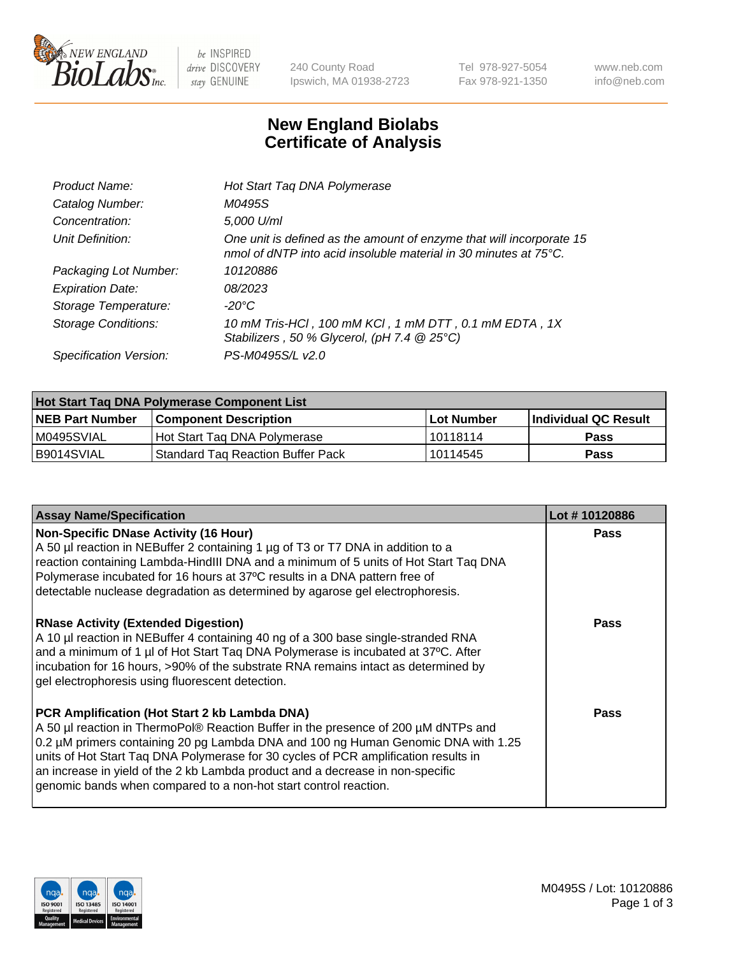

 $be$  INSPIRED drive DISCOVERY stay GENUINE

240 County Road Ipswich, MA 01938-2723 Tel 978-927-5054 Fax 978-921-1350 www.neb.com info@neb.com

## **New England Biolabs Certificate of Analysis**

| Product Name:              | Hot Start Taq DNA Polymerase                                                                                                                       |
|----------------------------|----------------------------------------------------------------------------------------------------------------------------------------------------|
| Catalog Number:            | M0495S                                                                                                                                             |
| Concentration:             | 5,000 U/ml                                                                                                                                         |
| Unit Definition:           | One unit is defined as the amount of enzyme that will incorporate 15<br>nmol of dNTP into acid insoluble material in 30 minutes at $75^{\circ}$ C. |
| Packaging Lot Number:      | 10120886                                                                                                                                           |
| <b>Expiration Date:</b>    | 08/2023                                                                                                                                            |
| Storage Temperature:       | $-20^{\circ}$ C                                                                                                                                    |
| <b>Storage Conditions:</b> | 10 mM Tris-HCl, 100 mM KCl, 1 mM DTT, 0.1 mM EDTA, 1X<br>Stabilizers, 50 % Glycerol, (pH 7.4 $@25°C$ )                                             |
| Specification Version:     | PS-M0495S/L v2.0                                                                                                                                   |

| Hot Start Taq DNA Polymerase Component List |                                          |              |                      |  |  |
|---------------------------------------------|------------------------------------------|--------------|----------------------|--|--|
| <b>NEB Part Number</b>                      | Component Description_                   | l Lot Number | Individual QC Result |  |  |
| M0495SVIAL                                  | Hot Start Tag DNA Polymerase             | 10118114     | <b>Pass</b>          |  |  |
| B9014SVIAL                                  | <b>Standard Tag Reaction Buffer Pack</b> | 10114545     | Pass                 |  |  |

| <b>Assay Name/Specification</b>                                                                                                                                                                                                                                                                                                                                                                                                                                       | Lot #10120886 |
|-----------------------------------------------------------------------------------------------------------------------------------------------------------------------------------------------------------------------------------------------------------------------------------------------------------------------------------------------------------------------------------------------------------------------------------------------------------------------|---------------|
| <b>Non-Specific DNase Activity (16 Hour)</b><br>A 50 µl reaction in NEBuffer 2 containing 1 µg of T3 or T7 DNA in addition to a<br>reaction containing Lambda-HindIII DNA and a minimum of 5 units of Hot Start Taq DNA<br>Polymerase incubated for 16 hours at 37°C results in a DNA pattern free of<br>detectable nuclease degradation as determined by agarose gel electrophoresis.                                                                                | Pass          |
| <b>RNase Activity (Extended Digestion)</b><br>A 10 µl reaction in NEBuffer 4 containing 40 ng of a 300 base single-stranded RNA<br>and a minimum of 1 µl of Hot Start Taq DNA Polymerase is incubated at 37°C. After<br>incubation for 16 hours, >90% of the substrate RNA remains intact as determined by<br>gel electrophoresis using fluorescent detection.                                                                                                        | <b>Pass</b>   |
| PCR Amplification (Hot Start 2 kb Lambda DNA)<br>A 50 µl reaction in ThermoPol® Reaction Buffer in the presence of 200 µM dNTPs and<br>0.2 µM primers containing 20 pg Lambda DNA and 100 ng Human Genomic DNA with 1.25<br>units of Hot Start Taq DNA Polymerase for 30 cycles of PCR amplification results in<br>an increase in yield of the 2 kb Lambda product and a decrease in non-specific<br>genomic bands when compared to a non-hot start control reaction. | <b>Pass</b>   |

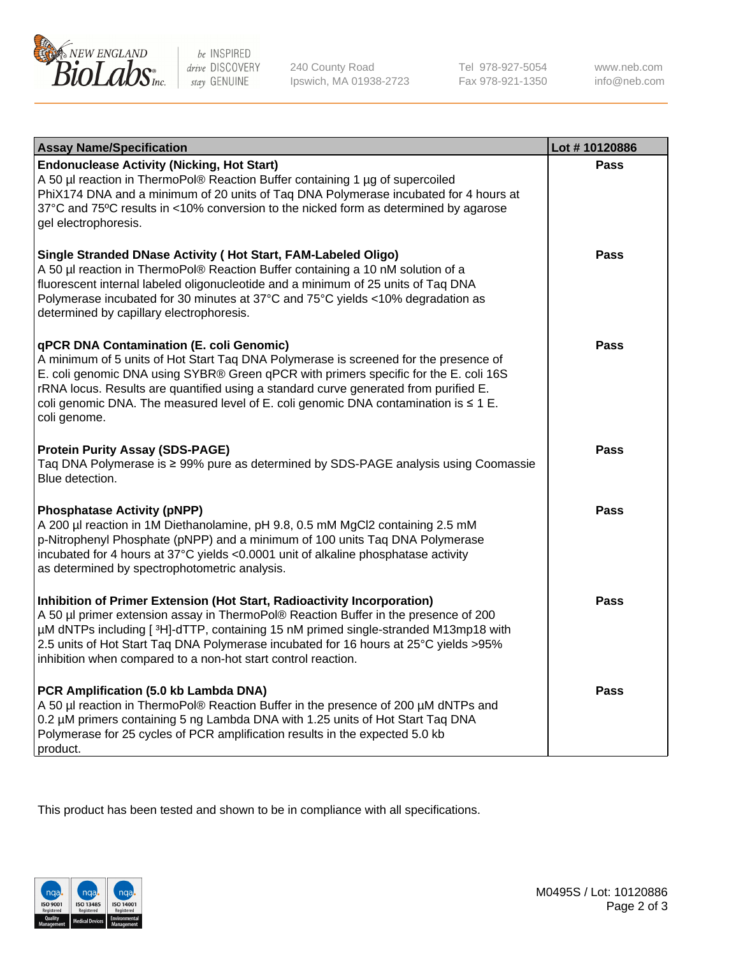

 $be$  INSPIRED drive DISCOVERY stay GENUINE

240 County Road Ipswich, MA 01938-2723 Tel 978-927-5054 Fax 978-921-1350 www.neb.com info@neb.com

| <b>Assay Name/Specification</b>                                                                                                                                                                                                                                                                                                                                                                                         | Lot #10120886 |
|-------------------------------------------------------------------------------------------------------------------------------------------------------------------------------------------------------------------------------------------------------------------------------------------------------------------------------------------------------------------------------------------------------------------------|---------------|
| <b>Endonuclease Activity (Nicking, Hot Start)</b><br>A 50 µl reaction in ThermoPol® Reaction Buffer containing 1 µg of supercoiled<br>PhiX174 DNA and a minimum of 20 units of Taq DNA Polymerase incubated for 4 hours at<br>37°C and 75°C results in <10% conversion to the nicked form as determined by agarose<br>gel electrophoresis.                                                                              | <b>Pass</b>   |
| Single Stranded DNase Activity (Hot Start, FAM-Labeled Oligo)<br>A 50 µl reaction in ThermoPol® Reaction Buffer containing a 10 nM solution of a<br>fluorescent internal labeled oligonucleotide and a minimum of 25 units of Taq DNA<br>Polymerase incubated for 30 minutes at 37°C and 75°C yields <10% degradation as<br>determined by capillary electrophoresis.                                                    | <b>Pass</b>   |
| qPCR DNA Contamination (E. coli Genomic)<br>A minimum of 5 units of Hot Start Taq DNA Polymerase is screened for the presence of<br>E. coli genomic DNA using SYBR® Green qPCR with primers specific for the E. coli 16S<br>rRNA locus. Results are quantified using a standard curve generated from purified E.<br>coli genomic DNA. The measured level of E. coli genomic DNA contamination is ≤ 1 E.<br>coli genome. | <b>Pass</b>   |
| <b>Protein Purity Assay (SDS-PAGE)</b><br>Taq DNA Polymerase is ≥ 99% pure as determined by SDS-PAGE analysis using Coomassie<br>Blue detection.                                                                                                                                                                                                                                                                        | Pass          |
| <b>Phosphatase Activity (pNPP)</b><br>A 200 µl reaction in 1M Diethanolamine, pH 9.8, 0.5 mM MgCl2 containing 2.5 mM<br>p-Nitrophenyl Phosphate (pNPP) and a minimum of 100 units Taq DNA Polymerase<br>incubated for 4 hours at 37°C yields <0.0001 unit of alkaline phosphatase activity<br>as determined by spectrophotometric analysis.                                                                             | Pass          |
| Inhibition of Primer Extension (Hot Start, Radioactivity Incorporation)<br>A 50 µl primer extension assay in ThermoPol® Reaction Buffer in the presence of 200<br>µM dNTPs including [3H]-dTTP, containing 15 nM primed single-stranded M13mp18 with<br>2.5 units of Hot Start Taq DNA Polymerase incubated for 16 hours at 25°C yields > 95%<br>inhibition when compared to a non-hot start control reaction.          | <b>Pass</b>   |
| PCR Amplification (5.0 kb Lambda DNA)<br>A 50 µl reaction in ThermoPol® Reaction Buffer in the presence of 200 µM dNTPs and<br>0.2 µM primers containing 5 ng Lambda DNA with 1.25 units of Hot Start Taq DNA<br>Polymerase for 25 cycles of PCR amplification results in the expected 5.0 kb<br>product.                                                                                                               | Pass          |

This product has been tested and shown to be in compliance with all specifications.